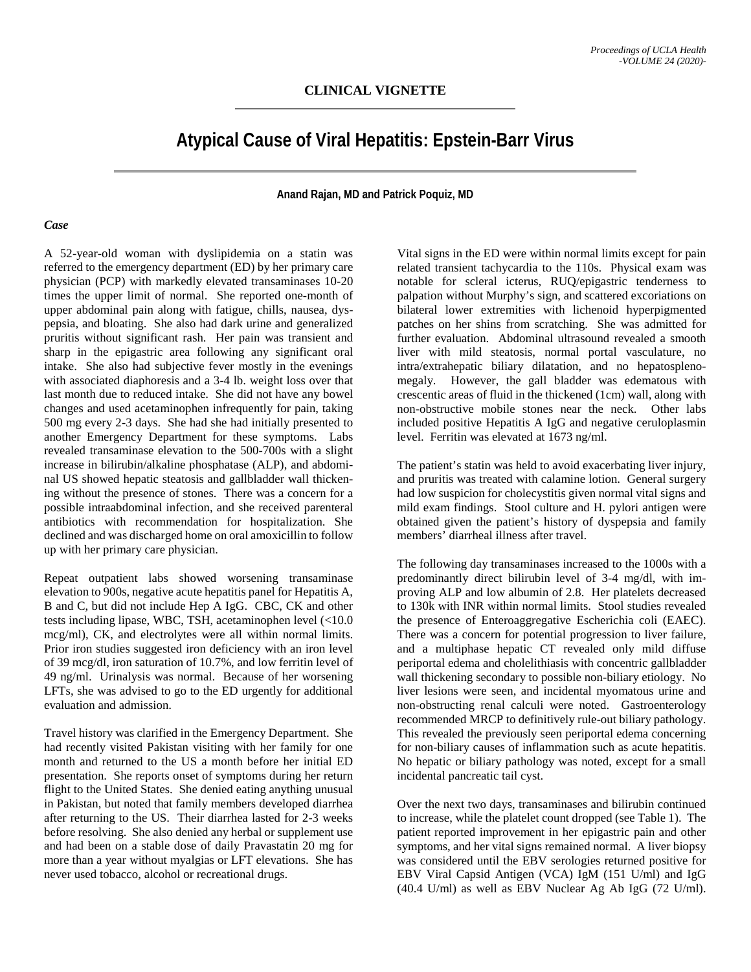## **Atypical Cause of Viral Hepatitis: Epstein-Barr Virus**

**Anand Rajan, MD and Patrick Poquiz, MD**

## *Case*

A 52-year-old woman with dyslipidemia on a statin was referred to the emergency department (ED) by her primary care physician (PCP) with markedly elevated transaminases 10-20 times the upper limit of normal. She reported one-month of upper abdominal pain along with fatigue, chills, nausea, dyspepsia, and bloating. She also had dark urine and generalized pruritis without significant rash. Her pain was transient and sharp in the epigastric area following any significant oral intake. She also had subjective fever mostly in the evenings with associated diaphoresis and a 3-4 lb. weight loss over that last month due to reduced intake. She did not have any bowel changes and used acetaminophen infrequently for pain, taking 500 mg every 2-3 days. She had she had initially presented to another Emergency Department for these symptoms. Labs revealed transaminase elevation to the 500-700s with a slight increase in bilirubin/alkaline phosphatase (ALP), and abdominal US showed hepatic steatosis and gallbladder wall thickening without the presence of stones. There was a concern for a possible intraabdominal infection, and she received parenteral antibiotics with recommendation for hospitalization. She declined and was discharged home on oral amoxicillin to follow up with her primary care physician.

Repeat outpatient labs showed worsening transaminase elevation to 900s, negative acute hepatitis panel for Hepatitis A, B and C, but did not include Hep A IgG. CBC, CK and other tests including lipase, WBC, TSH, acetaminophen level (<10.0 mcg/ml), CK, and electrolytes were all within normal limits. Prior iron studies suggested iron deficiency with an iron level of 39 mcg/dl, iron saturation of 10.7%, and low ferritin level of 49 ng/ml. Urinalysis was normal. Because of her worsening LFTs, she was advised to go to the ED urgently for additional evaluation and admission.

Travel history was clarified in the Emergency Department. She had recently visited Pakistan visiting with her family for one month and returned to the US a month before her initial ED presentation. She reports onset of symptoms during her return flight to the United States. She denied eating anything unusual in Pakistan, but noted that family members developed diarrhea after returning to the US. Their diarrhea lasted for 2-3 weeks before resolving. She also denied any herbal or supplement use and had been on a stable dose of daily Pravastatin 20 mg for more than a year without myalgias or LFT elevations. She has never used tobacco, alcohol or recreational drugs.

Vital signs in the ED were within normal limits except for pain related transient tachycardia to the 110s. Physical exam was notable for scleral icterus, RUQ/epigastric tenderness to palpation without Murphy's sign, and scattered excoriations on bilateral lower extremities with lichenoid hyperpigmented patches on her shins from scratching. She was admitted for further evaluation. Abdominal ultrasound revealed a smooth liver with mild steatosis, normal portal vasculature, no intra/extrahepatic biliary dilatation, and no hepatosplenomegaly. However, the gall bladder was edematous with crescentic areas of fluid in the thickened (1cm) wall, along with non-obstructive mobile stones near the neck. Other labs included positive Hepatitis A IgG and negative ceruloplasmin level. Ferritin was elevated at 1673 ng/ml.

The patient's statin was held to avoid exacerbating liver injury, and pruritis was treated with calamine lotion. General surgery had low suspicion for cholecystitis given normal vital signs and mild exam findings. Stool culture and H. pylori antigen were obtained given the patient's history of dyspepsia and family members' diarrheal illness after travel.

The following day transaminases increased to the 1000s with a predominantly direct bilirubin level of 3-4 mg/dl, with improving ALP and low albumin of 2.8. Her platelets decreased to 130k with INR within normal limits. Stool studies revealed the presence of Enteroaggregative Escherichia coli (EAEC). There was a concern for potential progression to liver failure, and a multiphase hepatic CT revealed only mild diffuse periportal edema and cholelithiasis with concentric gallbladder wall thickening secondary to possible non-biliary etiology. No liver lesions were seen, and incidental myomatous urine and non-obstructing renal calculi were noted. Gastroenterology recommended MRCP to definitively rule-out biliary pathology. This revealed the previously seen periportal edema concerning for non-biliary causes of inflammation such as acute hepatitis. No hepatic or biliary pathology was noted, except for a small incidental pancreatic tail cyst.

Over the next two days, transaminases and bilirubin continued to increase, while the platelet count dropped (see Table 1). The patient reported improvement in her epigastric pain and other symptoms, and her vital signs remained normal. A liver biopsy was considered until the EBV serologies returned positive for EBV Viral Capsid Antigen (VCA) IgM (151 U/ml) and IgG (40.4 U/ml) as well as EBV Nuclear Ag Ab IgG (72 U/ml).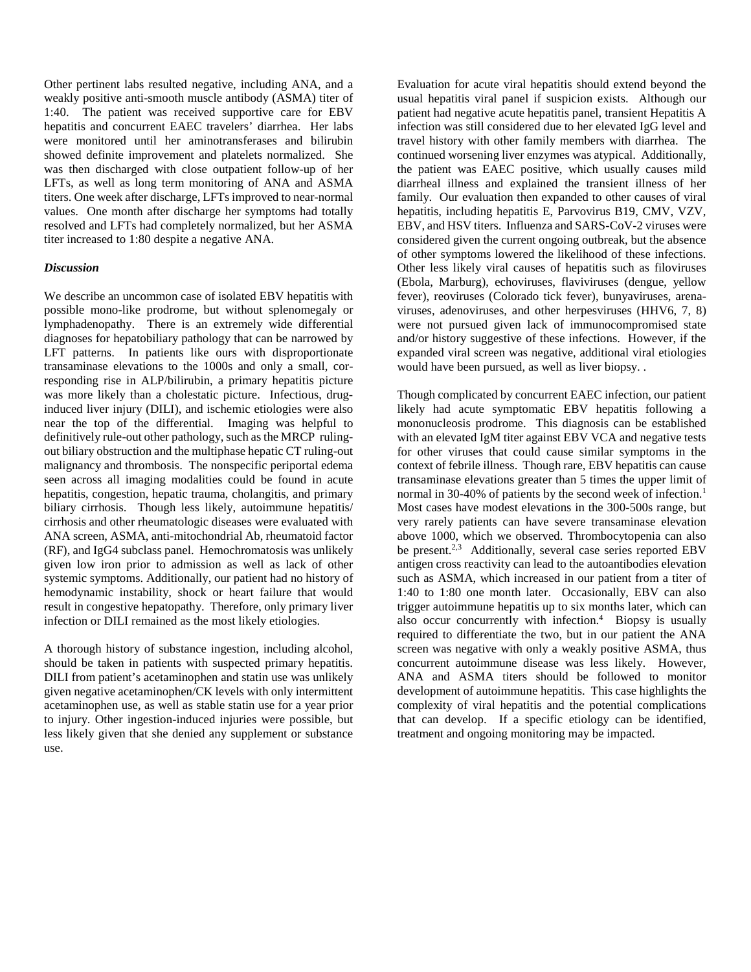Other pertinent labs resulted negative, including ANA, and a weakly positive anti-smooth muscle antibody (ASMA) titer of 1:40. The patient was received supportive care for EBV hepatitis and concurrent EAEC travelers' diarrhea. Her labs were monitored until her aminotransferases and bilirubin showed definite improvement and platelets normalized. She was then discharged with close outpatient follow-up of her LFTs, as well as long term monitoring of ANA and ASMA titers. One week after discharge, LFTs improved to near-normal values. One month after discharge her symptoms had totally resolved and LFTs had completely normalized, but her ASMA titer increased to 1:80 despite a negative ANA.

## *Discussion*

We describe an uncommon case of isolated EBV hepatitis with possible mono-like prodrome, but without splenomegaly or lymphadenopathy. There is an extremely wide differential diagnoses for hepatobiliary pathology that can be narrowed by LFT patterns. In patients like ours with disproportionate transaminase elevations to the 1000s and only a small, corresponding rise in ALP/bilirubin, a primary hepatitis picture was more likely than a cholestatic picture. Infectious, druginduced liver injury (DILI), and ischemic etiologies were also near the top of the differential. Imaging was helpful to definitively rule-out other pathology, such as the MRCP rulingout biliary obstruction and the multiphase hepatic CT ruling-out malignancy and thrombosis. The nonspecific periportal edema seen across all imaging modalities could be found in acute hepatitis, congestion, hepatic trauma, cholangitis, and primary biliary cirrhosis. Though less likely, autoimmune hepatitis/ cirrhosis and other rheumatologic diseases were evaluated with ANA screen, ASMA, anti-mitochondrial Ab, rheumatoid factor (RF), and IgG4 subclass panel. Hemochromatosis was unlikely given low iron prior to admission as well as lack of other systemic symptoms. Additionally, our patient had no history of hemodynamic instability, shock or heart failure that would result in congestive hepatopathy. Therefore, only primary liver infection or DILI remained as the most likely etiologies.

A thorough history of substance ingestion, including alcohol, should be taken in patients with suspected primary hepatitis. DILI from patient's acetaminophen and statin use was unlikely given negative acetaminophen/CK levels with only intermittent acetaminophen use, as well as stable statin use for a year prior to injury. Other ingestion-induced injuries were possible, but less likely given that she denied any supplement or substance use.

Evaluation for acute viral hepatitis should extend beyond the usual hepatitis viral panel if suspicion exists. Although our patient had negative acute hepatitis panel, transient Hepatitis A infection was still considered due to her elevated IgG level and travel history with other family members with diarrhea. The continued worsening liver enzymes was atypical. Additionally, the patient was EAEC positive, which usually causes mild diarrheal illness and explained the transient illness of her family. Our evaluation then expanded to other causes of viral hepatitis, including hepatitis E, Parvovirus B19, CMV, VZV, EBV, and HSV titers. Influenza and SARS-CoV-2 viruses were considered given the current ongoing outbreak, but the absence of other symptoms lowered the likelihood of these infections. Other less likely viral causes of hepatitis such as filoviruses (Ebola, Marburg), echoviruses, flaviviruses (dengue, yellow fever), reoviruses (Colorado tick fever), bunyaviruses, arenaviruses, adenoviruses, and other herpesviruses (HHV6, 7, 8) were not pursued given lack of immunocompromised state and/or history suggestive of these infections. However, if the expanded viral screen was negative, additional viral etiologies would have been pursued, as well as liver biopsy. .

Though complicated by concurrent EAEC infection, our patient likely had acute symptomatic EBV hepatitis following a mononucleosis prodrome. This diagnosis can be established with an elevated IgM titer against EBV VCA and negative tests for other viruses that could cause similar symptoms in the context of febrile illness. Though rare, EBV hepatitis can cause transaminase elevations greater than 5 times the upper limit of normal in 30-40% of patients by the second week of infection.<sup>1</sup> Most cases have modest elevations in the 300-500s range, but very rarely patients can have severe transaminase elevation above 1000, which we observed. Thrombocytopenia can also be present.<sup>2,3</sup> Additionally, several case series reported EBV antigen cross reactivity can lead to the autoantibodies elevation such as ASMA, which increased in our patient from a titer of 1:40 to 1:80 one month later. Occasionally, EBV can also trigger autoimmune hepatitis up to six months later, which can also occur concurrently with infection. 4 Biopsy is usually required to differentiate the two, but in our patient the ANA screen was negative with only a weakly positive ASMA, thus concurrent autoimmune disease was less likely. However, ANA and ASMA titers should be followed to monitor development of autoimmune hepatitis. This case highlights the complexity of viral hepatitis and the potential complications that can develop. If a specific etiology can be identified, treatment and ongoing monitoring may be impacted.